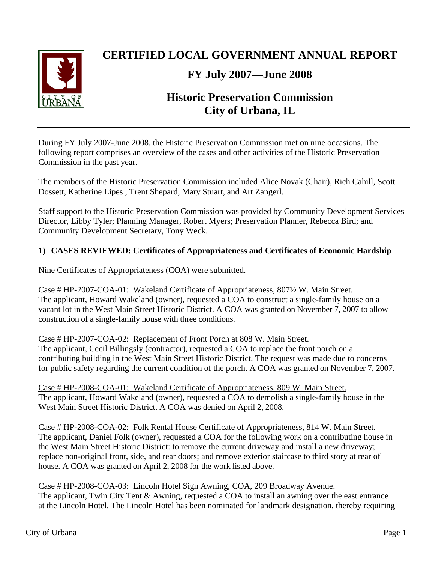

# **CERTIFIED LOCAL GOVERNMENT ANNUAL REPORT**

# **FY July 2007—June 2008**

# **Historic Preservation Commission City of Urbana, IL**

During FY July 2007-June 2008, the Historic Preservation Commission met on nine occasions. The following report comprises an overview of the cases and other activities of the Historic Preservation Commission in the past year.

The members of the Historic Preservation Commission included Alice Novak (Chair), Rich Cahill, Scott Dossett, Katherine Lipes , Trent Shepard, Mary Stuart, and Art Zangerl.

Staff support to the Historic Preservation Commission was provided by Community Development Services Director, Libby Tyler; Planning Manager, Robert Myers; Preservation Planner, Rebecca Bird; and Community Development Secretary, Tony Weck.

## **1) CASES REVIEWED: Certificates of Appropriateness and Certificates of Economic Hardship**

Nine Certificates of Appropriateness (COA) were submitted.

Case # HP-2007-COA-01: Wakeland Certificate of Appropriateness, 807½ W. Main Street. The applicant, Howard Wakeland (owner), requested a COA to construct a single-family house on a vacant lot in the West Main Street Historic District. A COA was granted on November 7, 2007 to allow construction of a single-family house with three conditions.

Case # HP-2007-COA-02: Replacement of Front Porch at 808 W. Main Street. The applicant, Cecil Billingsly (contractor), requested a COA to replace the front porch on a contributing building in the West Main Street Historic District. The request was made due to concerns for public safety regarding the current condition of the porch. A COA was granted on November 7, 2007.

Case # HP-2008-COA-01: Wakeland Certificate of Appropriateness, 809 W. Main Street. The applicant, Howard Wakeland (owner), requested a COA to demolish a single-family house in the West Main Street Historic District. A COA was denied on April 2, 2008.

Case # HP-2008-COA-02: Folk Rental House Certificate of Appropriateness, 814 W. Main Street. The applicant, Daniel Folk (owner), requested a COA for the following work on a contributing house in the West Main Street Historic District: to remove the current driveway and install a new driveway; replace non-original front, side, and rear doors; and remove exterior staircase to third story at rear of house. A COA was granted on April 2, 2008 for the work listed above.

Case # HP-2008-COA-03: Lincoln Hotel Sign Awning, COA, 209 Broadway Avenue. The applicant, Twin City Tent & Awning, requested a COA to install an awning over the east entrance at the Lincoln Hotel. The Lincoln Hotel has been nominated for landmark designation, thereby requiring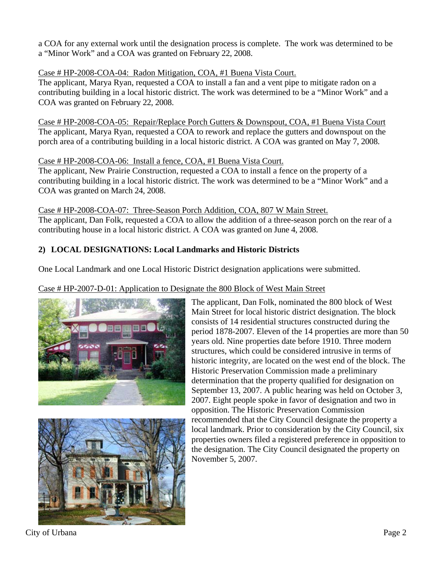a COA for any external work until the designation process is complete. The work was determined to be a "Minor Work" and a COA was granted on February 22, 2008.

## Case # HP-2008-COA-04: Radon Mitigation, COA, #1 Buena Vista Court.

The applicant, Marya Ryan, requested a COA to install a fan and a vent pipe to mitigate radon on a contributing building in a local historic district. The work was determined to be a "Minor Work" and a COA was granted on February 22, 2008.

Case # HP-2008-COA-05: Repair/Replace Porch Gutters & Downspout, COA, #1 Buena Vista Court The applicant, Marya Ryan, requested a COA to rework and replace the gutters and downspout on the porch area of a contributing building in a local historic district. A COA was granted on May 7, 2008.

### Case # HP-2008-COA-06: Install a fence, COA, #1 Buena Vista Court.

The applicant, New Prairie Construction, requested a COA to install a fence on the property of a contributing building in a local historic district. The work was determined to be a "Minor Work" and a COA was granted on March 24, 2008.

Case # HP-2008-COA-07: Three-Season Porch Addition, COA, 807 W Main Street. The applicant, Dan Folk, requested a COA to allow the addition of a three-season porch on the rear of a contributing house in a local historic district. A COA was granted on June 4, 2008.

## **2) LOCAL DESIGNATIONS: Local Landmarks and Historic Districts**

One Local Landmark and one Local Historic District designation applications were submitted.

## Case # HP-2007-D-01: Application to Designate the 800 Block of West Main Street





The applicant, Dan Folk, nominated the 800 block of West Main Street for local historic district designation. The block consists of 14 residential structures constructed during the period 1878-2007. Eleven of the 14 properties are more than 50 years old. Nine properties date before 1910. Three modern structures, which could be considered intrusive in terms of historic integrity, are located on the west end of the block. The Historic Preservation Commission made a preliminary determination that the property qualified for designation on September 13, 2007. A public hearing was held on October 3, 2007. Eight people spoke in favor of designation and two in opposition. The Historic Preservation Commission recommended that the City Council designate the property a local landmark. Prior to consideration by the City Council, six properties owners filed a registered preference in opposition to the designation. The City Council designated the property on November 5, 2007.

City of Urbana Page 2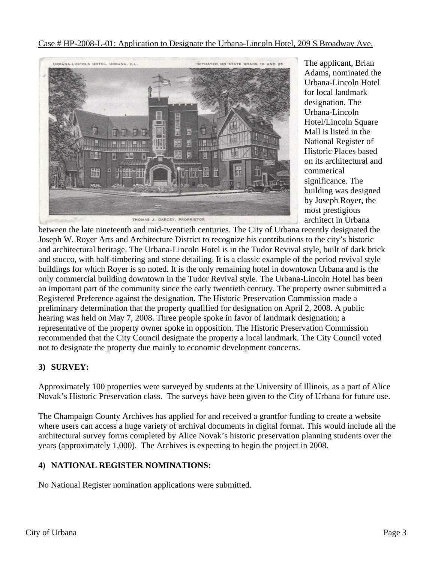Case # HP-2008-L-01: Application to Designate the Urbana-Lincoln Hotel, 209 S Broadway Ave.



The applicant, Brian Adams, nominated the Urbana-Lincoln Hotel for local landmark designation. The Urbana-Lincoln Hotel/Lincoln Square Mall is listed in the National Register of Historic Places based on its architectural and commerical significance. The building was designed by Joseph Royer, the most prestigious architect in Urbana

between the late nineteenth and mid-twentieth centuries. The City of Urbana recently designated the Joseph W. Royer Arts and Architecture District to recognize his contributions to the city's historic and architectural heritage. The Urbana-Lincoln Hotel is in the Tudor Revival style, built of dark brick and stucco, with half-timbering and stone detailing. It is a classic example of the period revival style buildings for which Royer is so noted. It is the only remaining hotel in downtown Urbana and is the only commercial building downtown in the Tudor Revival style. The Urbana-Lincoln Hotel has been an important part of the community since the early twentieth century. The property owner submitted a Registered Preference against the designation. The Historic Preservation Commission made a preliminary determination that the property qualified for designation on April 2, 2008. A public hearing was held on May 7, 2008. Three people spoke in favor of landmark designation; a representative of the property owner spoke in opposition. The Historic Preservation Commission recommended that the City Council designate the property a local landmark. The City Council voted not to designate the property due mainly to economic development concerns.

## **3) SURVEY:**

Approximately 100 properties were surveyed by students at the University of Illinois, as a part of Alice Novak's Historic Preservation class. The surveys have been given to the City of Urbana for future use.

The Champaign County Archives has applied for and received a grantfor funding to create a website where users can access a huge variety of archival documents in digital format. This would include all the architectural survey forms completed by Alice Novak's historic preservation planning students over the years (approximately 1,000). The Archives is expecting to begin the project in 2008.

# **4) NATIONAL REGISTER NOMINATIONS:**

No National Register nomination applications were submitted.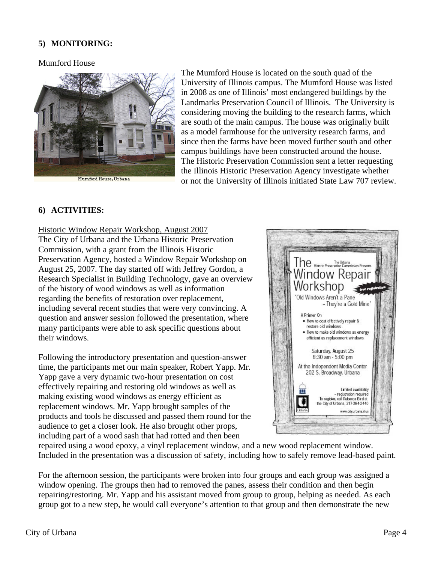## **5) MONITORING:**

#### Mumford House



The Mumford House is located on the south quad of the University of Illinois campus. The Mumford House was listed in 2008 as one of Illinois' most endangered buildings by the Landmarks Preservation Council of Illinois. The University is considering moving the building to the research farms, which are south of the main campus. The house was originally built as a model farmhouse for the university research farms, and since then the farms have been moved further south and other campus buildings have been constructed around the house. The Historic Preservation Commission sent a letter requesting the Illinois Historic Preservation Agency investigate whether or not the University of Illinois initiated State Law 707 review.

### **6) ACTIVITIES:**

#### Historic Window Repair Workshop, August 2007

The City of Urbana and the Urbana Historic Preservation Commission, with a grant from the Illinois Historic Preservation Agency, hosted a Window Repair Workshop on August 25, 2007. The day started off with Jeffrey Gordon, a Research Specialist in Building Technology, gave an overview of the history of wood windows as well as information regarding the benefits of restoration over replacement, including several recent studies that were very convincing. A question and answer session followed the presentation, where many participants were able to ask specific questions about their windows.

Following the introductory presentation and question-answer time, the participants met our main speaker, Robert Yapp. Mr. Yapp gave a very dynamic two-hour presentation on cost effectively repairing and restoring old windows as well as making existing wood windows as energy efficient as replacement windows. Mr. Yapp brought samples of the products and tools he discussed and passed them round for the audience to get a closer look. He also brought other props, including part of a wood sash that had rotted and then been



repaired using a wood epoxy, a vinyl replacement window, and a new wood replacement window. Included in the presentation was a discussion of safety, including how to safely remove lead-based paint.

For the afternoon session, the participants were broken into four groups and each group was assigned a window opening. The groups then had to removed the panes, assess their condition and then begin repairing/restoring. Mr. Yapp and his assistant moved from group to group, helping as needed. As each group got to a new step, he would call everyone's attention to that group and then demonstrate the new